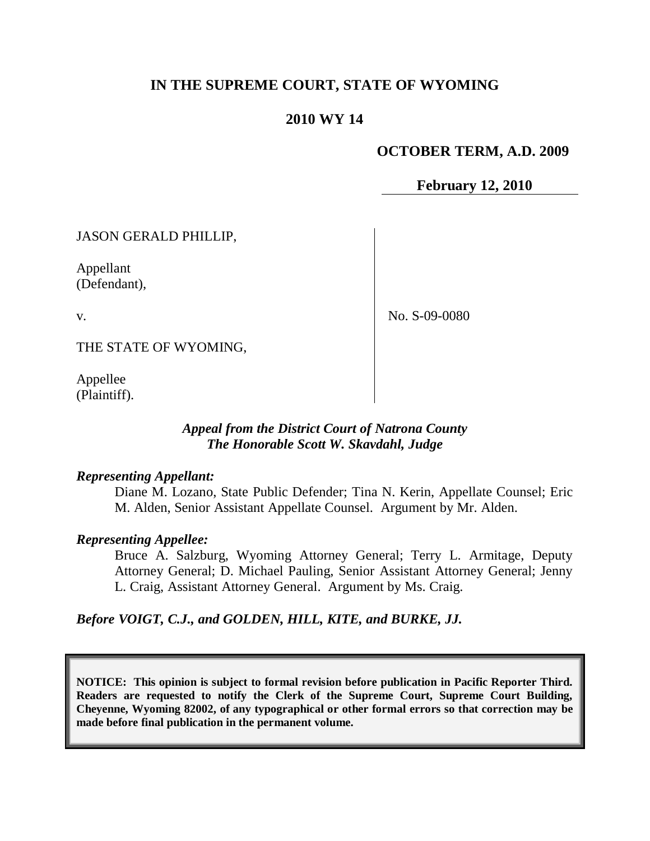# **IN THE SUPREME COURT, STATE OF WYOMING**

# **2010 WY 14**

## **OCTOBER TERM, A.D. 2009**

**February 12, 2010**

JASON GERALD PHILLIP,

Appellant (Defendant),

v.

No. S-09-0080

THE STATE OF WYOMING,

Appellee (Plaintiff).

## *Appeal from the District Court of Natrona County The Honorable Scott W. Skavdahl, Judge*

#### *Representing Appellant:*

Diane M. Lozano, State Public Defender; Tina N. Kerin, Appellate Counsel; Eric M. Alden, Senior Assistant Appellate Counsel. Argument by Mr. Alden.

#### *Representing Appellee:*

Bruce A. Salzburg, Wyoming Attorney General; Terry L. Armitage, Deputy Attorney General; D. Michael Pauling, Senior Assistant Attorney General; Jenny L. Craig, Assistant Attorney General. Argument by Ms. Craig.

*Before VOIGT, C.J., and GOLDEN, HILL, KITE, and BURKE, JJ.*

**NOTICE: This opinion is subject to formal revision before publication in Pacific Reporter Third. Readers are requested to notify the Clerk of the Supreme Court, Supreme Court Building, Cheyenne, Wyoming 82002, of any typographical or other formal errors so that correction may be made before final publication in the permanent volume.**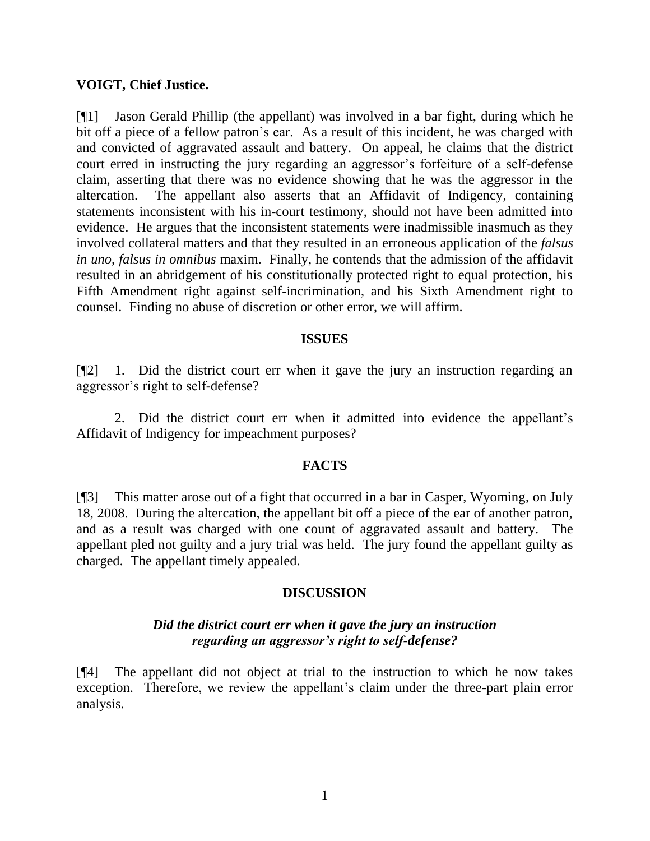#### **VOIGT, Chief Justice.**

[¶1] Jason Gerald Phillip (the appellant) was involved in a bar fight, during which he bit off a piece of a fellow patron's ear. As a result of this incident, he was charged with and convicted of aggravated assault and battery. On appeal, he claims that the district court erred in instructing the jury regarding an aggressor's forfeiture of a self-defense claim, asserting that there was no evidence showing that he was the aggressor in the altercation. The appellant also asserts that an Affidavit of Indigency, containing statements inconsistent with his in-court testimony, should not have been admitted into evidence. He argues that the inconsistent statements were inadmissible inasmuch as they involved collateral matters and that they resulted in an erroneous application of the *falsus in uno, falsus in omnibus* maxim. Finally, he contends that the admission of the affidavit resulted in an abridgement of his constitutionally protected right to equal protection, his Fifth Amendment right against self-incrimination, and his Sixth Amendment right to counsel. Finding no abuse of discretion or other error, we will affirm.

#### **ISSUES**

[¶2] 1. Did the district court err when it gave the jury an instruction regarding an aggressor's right to self-defense?

2. Did the district court err when it admitted into evidence the appellant's Affidavit of Indigency for impeachment purposes?

#### **FACTS**

[¶3] This matter arose out of a fight that occurred in a bar in Casper, Wyoming, on July 18, 2008. During the altercation, the appellant bit off a piece of the ear of another patron, and as a result was charged with one count of aggravated assault and battery. The appellant pled not guilty and a jury trial was held. The jury found the appellant guilty as charged. The appellant timely appealed.

#### **DISCUSSION**

## *Did the district court err when it gave the jury an instruction regarding an aggressor's right to self-defense?*

[¶4] The appellant did not object at trial to the instruction to which he now takes exception. Therefore, we review the appellant's claim under the three-part plain error analysis.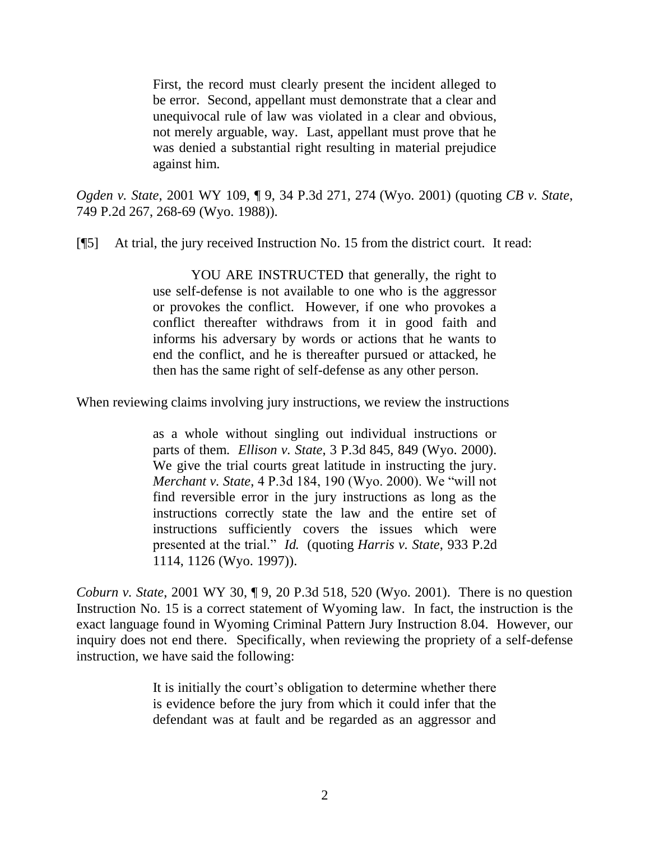First, the record must clearly present the incident alleged to be error. Second, appellant must demonstrate that a clear and unequivocal rule of law was violated in a clear and obvious, not merely arguable, way. Last, appellant must prove that he was denied a substantial right resulting in material prejudice against him.

*Ogden v. State*, 2001 WY 109, ¶ 9, 34 P.3d 271, 274 (Wyo. 2001) (quoting *CB v. State*, 749 P.2d 267, 268-69 (Wyo. 1988)).

[¶5] At trial, the jury received Instruction No. 15 from the district court. It read:

YOU ARE INSTRUCTED that generally, the right to use self-defense is not available to one who is the aggressor or provokes the conflict. However, if one who provokes a conflict thereafter withdraws from it in good faith and informs his adversary by words or actions that he wants to end the conflict, and he is thereafter pursued or attacked, he then has the same right of self-defense as any other person.

When reviewing claims involving jury instructions, we review the instructions

as a whole without singling out individual instructions or parts of them. *Ellison v. State*, 3 P.3d 845, 849 (Wyo. 2000). We give the trial courts great latitude in instructing the jury. *Merchant v. State*, 4 P.3d 184, 190 (Wyo. 2000). We "will not find reversible error in the jury instructions as long as the instructions correctly state the law and the entire set of instructions sufficiently covers the issues which were presented at the trial." *Id.* (quoting *Harris v. State*, 933 P.2d 1114, 1126 (Wyo. 1997)).

*Coburn v. State*, 2001 WY 30, ¶ 9, 20 P.3d 518, 520 (Wyo. 2001). There is no question Instruction No. 15 is a correct statement of Wyoming law. In fact, the instruction is the exact language found in Wyoming Criminal Pattern Jury Instruction 8.04. However, our inquiry does not end there. Specifically, when reviewing the propriety of a self-defense instruction, we have said the following:

> It is initially the court's obligation to determine whether there is evidence before the jury from which it could infer that the defendant was at fault and be regarded as an aggressor and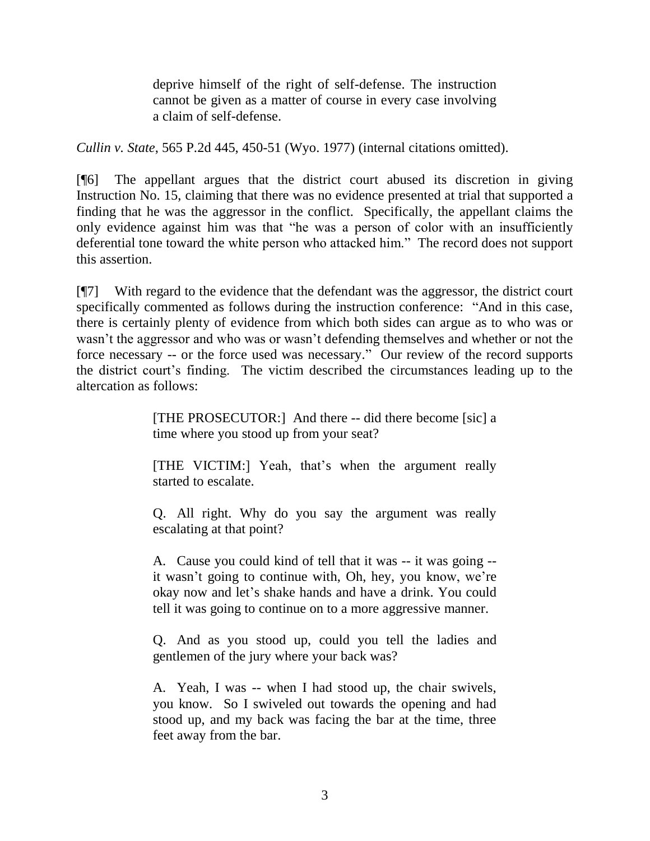deprive himself of the right of self-defense. The instruction cannot be given as a matter of course in every case involving a claim of self-defense.

*Cullin v. State*, 565 P.2d 445, 450-51 (Wyo. 1977) (internal citations omitted).

[¶6] The appellant argues that the district court abused its discretion in giving Instruction No. 15, claiming that there was no evidence presented at trial that supported a finding that he was the aggressor in the conflict. Specifically, the appellant claims the only evidence against him was that "he was a person of color with an insufficiently deferential tone toward the white person who attacked him." The record does not support this assertion.

[¶7] With regard to the evidence that the defendant was the aggressor, the district court specifically commented as follows during the instruction conference: "And in this case, there is certainly plenty of evidence from which both sides can argue as to who was or wasn't the aggressor and who was or wasn't defending themselves and whether or not the force necessary -- or the force used was necessary." Our review of the record supports the district court's finding. The victim described the circumstances leading up to the altercation as follows:

> [THE PROSECUTOR:] And there -- did there become [sic] a time where you stood up from your seat?

> [THE VICTIM:] Yeah, that's when the argument really started to escalate.

> Q. All right. Why do you say the argument was really escalating at that point?

> A. Cause you could kind of tell that it was -- it was going - it wasn't going to continue with, Oh, hey, you know, we're okay now and let's shake hands and have a drink. You could tell it was going to continue on to a more aggressive manner.

> Q. And as you stood up, could you tell the ladies and gentlemen of the jury where your back was?

> A. Yeah, I was -- when I had stood up, the chair swivels, you know. So I swiveled out towards the opening and had stood up, and my back was facing the bar at the time, three feet away from the bar.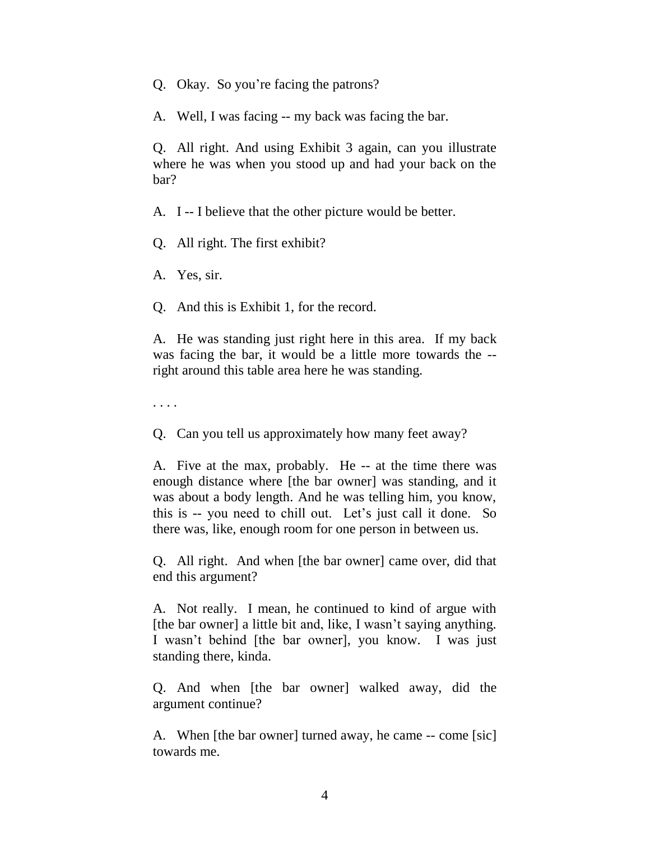Q. Okay. So you're facing the patrons?

A. Well, I was facing -- my back was facing the bar.

Q. All right. And using Exhibit 3 again, can you illustrate where he was when you stood up and had your back on the bar?

A. I -- I believe that the other picture would be better.

Q. All right. The first exhibit?

A. Yes, sir.

Q. And this is Exhibit 1, for the record.

A. He was standing just right here in this area. If my back was facing the bar, it would be a little more towards the - right around this table area here he was standing.

. . . .

Q. Can you tell us approximately how many feet away?

A. Five at the max, probably. He -- at the time there was enough distance where [the bar owner] was standing, and it was about a body length. And he was telling him, you know, this is -- you need to chill out. Let's just call it done. So there was, like, enough room for one person in between us.

Q. All right. And when [the bar owner] came over, did that end this argument?

A. Not really. I mean, he continued to kind of argue with [the bar owner] a little bit and, like, I wasn't saying anything. I wasn't behind [the bar owner], you know. I was just standing there, kinda.

Q. And when [the bar owner] walked away, did the argument continue?

A. When [the bar owner] turned away, he came -- come [sic] towards me.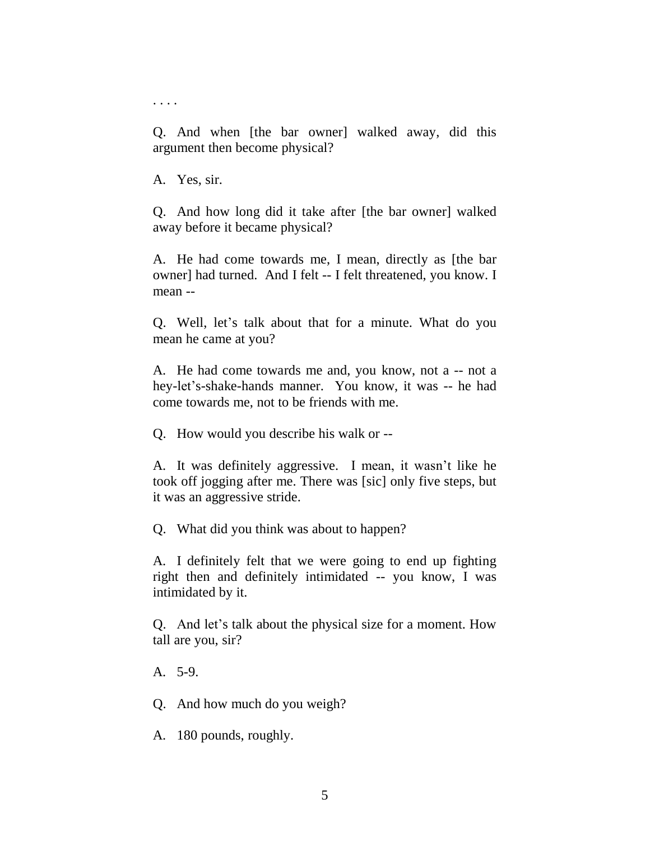Q. And when [the bar owner] walked away, did this argument then become physical?

A. Yes, sir.

. . . .

Q. And how long did it take after [the bar owner] walked away before it became physical?

A. He had come towards me, I mean, directly as [the bar owner] had turned. And I felt -- I felt threatened, you know. I mean --

Q. Well, let's talk about that for a minute. What do you mean he came at you?

A. He had come towards me and, you know, not a -- not a hey-let's-shake-hands manner. You know, it was -- he had come towards me, not to be friends with me.

Q. How would you describe his walk or --

A. It was definitely aggressive. I mean, it wasn't like he took off jogging after me. There was [sic] only five steps, but it was an aggressive stride.

Q. What did you think was about to happen?

A. I definitely felt that we were going to end up fighting right then and definitely intimidated -- you know, I was intimidated by it.

Q. And let's talk about the physical size for a moment. How tall are you, sir?

A. 5-9.

Q. And how much do you weigh?

A. 180 pounds, roughly.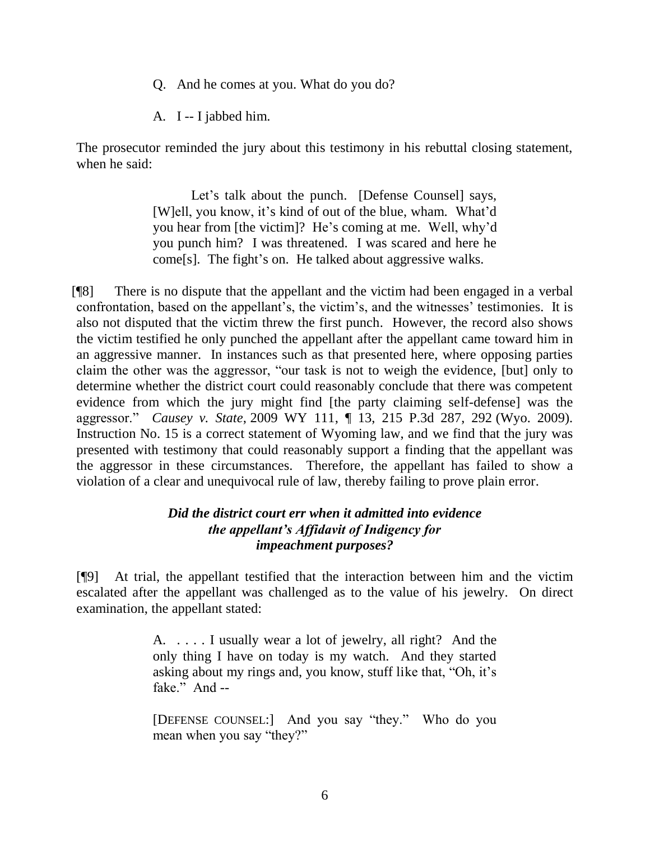Q. And he comes at you. What do you do?

A. I -- I jabbed him.

The prosecutor reminded the jury about this testimony in his rebuttal closing statement, when he said:

> Let's talk about the punch. [Defense Counsel] says, [W]ell, you know, it's kind of out of the blue, wham. What'd you hear from [the victim]? He's coming at me. Well, why'd you punch him? I was threatened. I was scared and here he come[s]. The fight's on. He talked about aggressive walks.

[¶8] There is no dispute that the appellant and the victim had been engaged in a verbal confrontation, based on the appellant's, the victim's, and the witnesses' testimonies. It is also not disputed that the victim threw the first punch. However, the record also shows the victim testified he only punched the appellant after the appellant came toward him in an aggressive manner. In instances such as that presented here, where opposing parties claim the other was the aggressor, "our task is not to weigh the evidence, [but] only to determine whether the district court could reasonably conclude that there was competent evidence from which the jury might find [the party claiming self-defense] was the aggressor." *Causey v. State*, 2009 WY 111, ¶ 13, 215 P.3d 287, 292 (Wyo. 2009). Instruction No. 15 is a correct statement of Wyoming law, and we find that the jury was presented with testimony that could reasonably support a finding that the appellant was the aggressor in these circumstances. Therefore, the appellant has failed to show a violation of a clear and unequivocal rule of law, thereby failing to prove plain error.

# *Did the district court err when it admitted into evidence the appellant's Affidavit of Indigency for impeachment purposes?*

[¶9] At trial, the appellant testified that the interaction between him and the victim escalated after the appellant was challenged as to the value of his jewelry. On direct examination, the appellant stated:

> A. . . . . I usually wear a lot of jewelry, all right? And the only thing I have on today is my watch. And they started asking about my rings and, you know, stuff like that, "Oh, it's fake." And --

> [DEFENSE COUNSEL:] And you say "they." Who do you mean when you say "they?"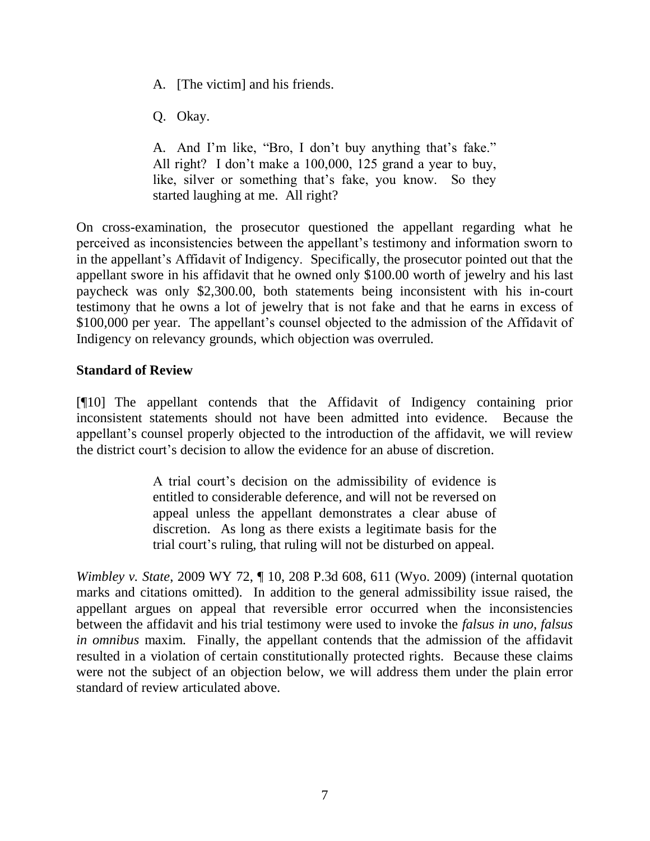- A. [The victim] and his friends.
- Q. Okay.

A. And I'm like, "Bro, I don't buy anything that's fake." All right? I don't make a 100,000, 125 grand a year to buy, like, silver or something that's fake, you know. So they started laughing at me. All right?

On cross-examination, the prosecutor questioned the appellant regarding what he perceived as inconsistencies between the appellant's testimony and information sworn to in the appellant's Affidavit of Indigency. Specifically, the prosecutor pointed out that the appellant swore in his affidavit that he owned only \$100.00 worth of jewelry and his last paycheck was only \$2,300.00, both statements being inconsistent with his in-court testimony that he owns a lot of jewelry that is not fake and that he earns in excess of \$100,000 per year. The appellant's counsel objected to the admission of the Affidavit of Indigency on relevancy grounds, which objection was overruled.

## **Standard of Review**

[¶10] The appellant contends that the Affidavit of Indigency containing prior inconsistent statements should not have been admitted into evidence. Because the appellant's counsel properly objected to the introduction of the affidavit, we will review the district court's decision to allow the evidence for an abuse of discretion.

> A trial court's decision on the admissibility of evidence is entitled to considerable deference, and will not be reversed on appeal unless the appellant demonstrates a clear abuse of discretion. As long as there exists a legitimate basis for the trial court's ruling, that ruling will not be disturbed on appeal.

*Wimbley v. State*, 2009 WY 72, ¶ 10, 208 P.3d 608, 611 (Wyo. 2009) (internal quotation marks and citations omitted). In addition to the general admissibility issue raised, the appellant argues on appeal that reversible error occurred when the inconsistencies between the affidavit and his trial testimony were used to invoke the *falsus in uno, falsus in omnibus* maxim. Finally, the appellant contends that the admission of the affidavit resulted in a violation of certain constitutionally protected rights. Because these claims were not the subject of an objection below, we will address them under the plain error standard of review articulated above.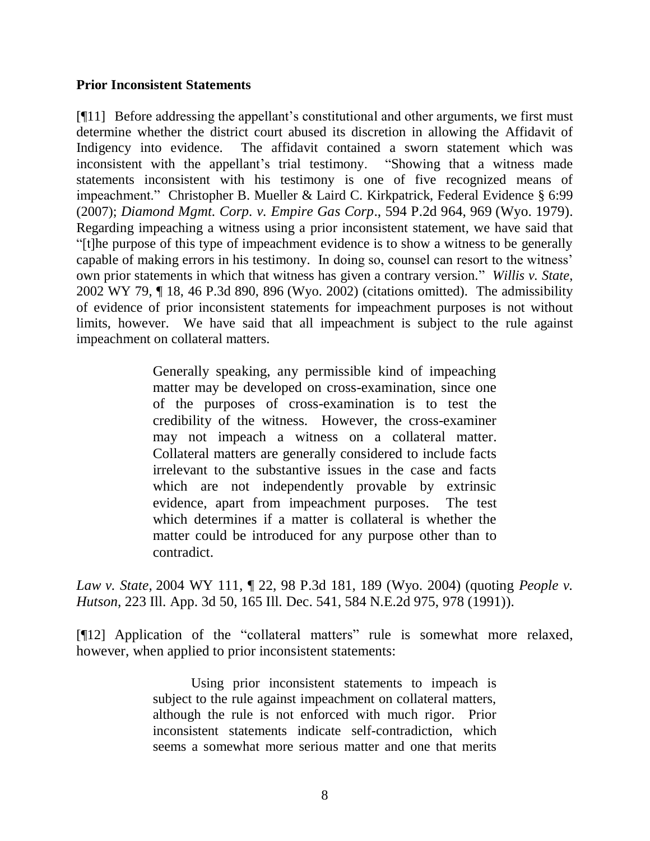#### **Prior Inconsistent Statements**

[¶11] Before addressing the appellant's constitutional and other arguments, we first must determine whether the district court abused its discretion in allowing the Affidavit of Indigency into evidence. The affidavit contained a sworn statement which was inconsistent with the appellant's trial testimony. "Showing that a witness made statements inconsistent with his testimony is one of five recognized means of impeachment." Christopher B. Mueller & Laird C. Kirkpatrick, Federal Evidence § 6:99 (2007); *Diamond Mgmt. Corp. v. Empire Gas Corp*., 594 P.2d 964, 969 (Wyo. 1979). Regarding impeaching a witness using a prior inconsistent statement, we have said that "[t]he purpose of this type of impeachment evidence is to show a witness to be generally capable of making errors in his testimony. In doing so, counsel can resort to the witness' own prior statements in which that witness has given a contrary version." *Willis v. State*, 2002 WY 79, ¶ 18, 46 P.3d 890, 896 (Wyo. 2002) (citations omitted). The admissibility of evidence of prior inconsistent statements for impeachment purposes is not without limits, however. We have said that all impeachment is subject to the rule against impeachment on collateral matters.

> Generally speaking, any permissible kind of impeaching matter may be developed on cross-examination, since one of the purposes of cross-examination is to test the credibility of the witness. However, the cross-examiner may not impeach a witness on a collateral matter. Collateral matters are generally considered to include facts irrelevant to the substantive issues in the case and facts which are not independently provable by extrinsic evidence, apart from impeachment purposes. The test which determines if a matter is collateral is whether the matter could be introduced for any purpose other than to contradict.

*Law v. State*, 2004 WY 111, ¶ 22, 98 P.3d 181, 189 (Wyo. 2004) (quoting *People v. Hutson*, 223 Ill. App. 3d 50, 165 Ill. Dec. 541, 584 N.E.2d 975, 978 (1991)).

[¶12] Application of the "collateral matters" rule is somewhat more relaxed, however, when applied to prior inconsistent statements:

> Using prior inconsistent statements to impeach is subject to the rule against impeachment on collateral matters, although the rule is not enforced with much rigor. Prior inconsistent statements indicate self-contradiction, which seems a somewhat more serious matter and one that merits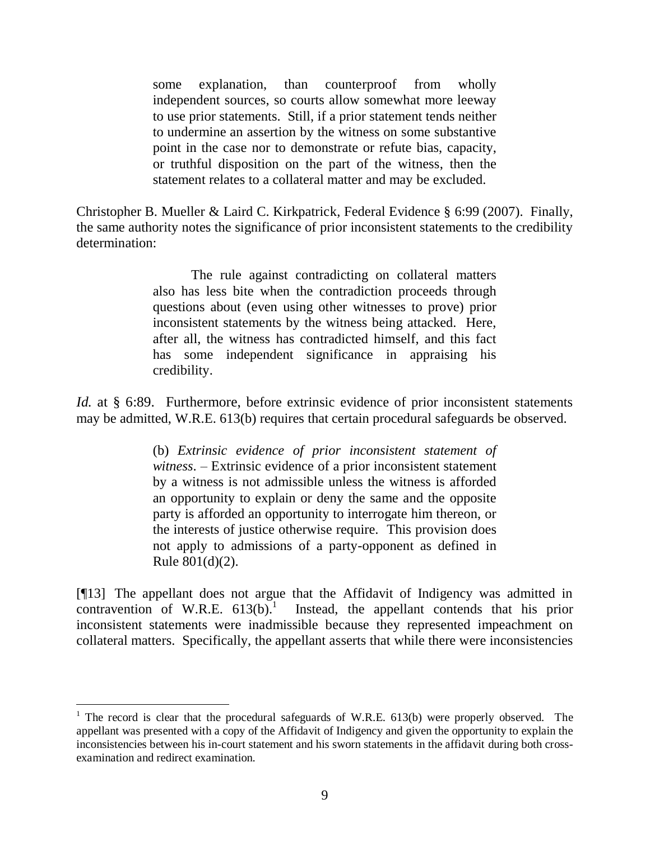some explanation, than counterproof from wholly independent sources, so courts allow somewhat more leeway to use prior statements. Still, if a prior statement tends neither to undermine an assertion by the witness on some substantive point in the case nor to demonstrate or refute bias, capacity, or truthful disposition on the part of the witness, then the statement relates to a collateral matter and may be excluded.

Christopher B. Mueller & Laird C. Kirkpatrick, Federal Evidence § 6:99 (2007). Finally, the same authority notes the significance of prior inconsistent statements to the credibility determination:

> The rule against contradicting on collateral matters also has less bite when the contradiction proceeds through questions about (even using other witnesses to prove) prior inconsistent statements by the witness being attacked. Here, after all, the witness has contradicted himself, and this fact has some independent significance in appraising his credibility.

*Id.* at § 6:89. Furthermore, before extrinsic evidence of prior inconsistent statements may be admitted, W.R.E. 613(b) requires that certain procedural safeguards be observed.

> (b) *Extrinsic evidence of prior inconsistent statement of witness*. – Extrinsic evidence of a prior inconsistent statement by a witness is not admissible unless the witness is afforded an opportunity to explain or deny the same and the opposite party is afforded an opportunity to interrogate him thereon, or the interests of justice otherwise require. This provision does not apply to admissions of a party-opponent as defined in Rule 801(d)(2).

[¶13] The appellant does not argue that the Affidavit of Indigency was admitted in  $contraction$  of W.R.E.  $613(b)$ .<sup>1</sup> Instead, the appellant contends that his prior inconsistent statements were inadmissible because they represented impeachment on collateral matters. Specifically, the appellant asserts that while there were inconsistencies

 $\overline{a}$ 

<sup>&</sup>lt;sup>1</sup> The record is clear that the procedural safeguards of W.R.E. 613(b) were properly observed. The appellant was presented with a copy of the Affidavit of Indigency and given the opportunity to explain the inconsistencies between his in-court statement and his sworn statements in the affidavit during both crossexamination and redirect examination.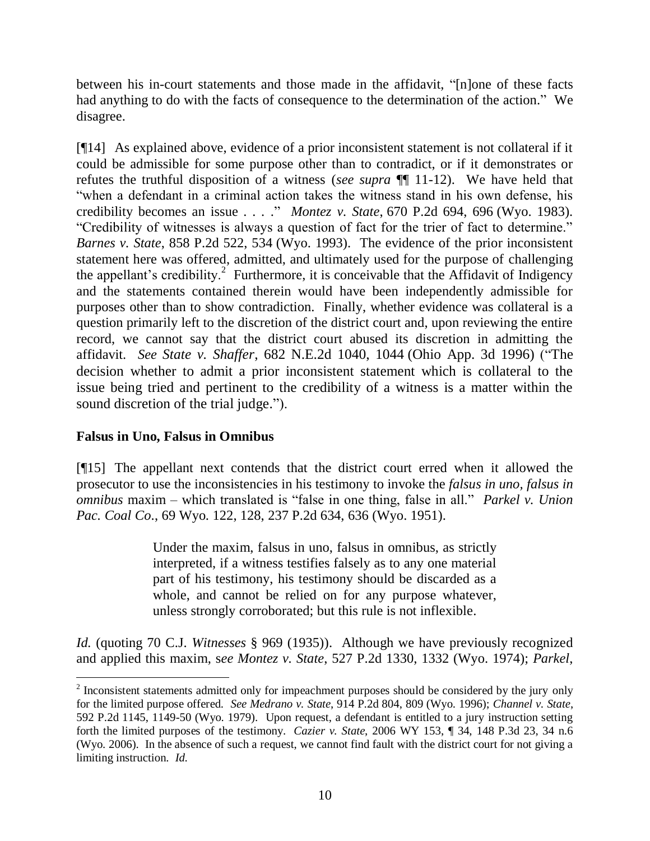between his in-court statements and those made in the affidavit, "[n]one of these facts had anything to do with the facts of consequence to the determination of the action." We disagree.

[¶14] As explained above, evidence of a prior inconsistent statement is not collateral if it could be admissible for some purpose other than to contradict, or if it demonstrates or refutes the truthful disposition of a witness (*see supra* ¶¶ 11-12). We have held that "when a defendant in a criminal action takes the witness stand in his own defense, his credibility becomes an issue . . . ." *Montez v. State*, 670 P.2d 694, 696 (Wyo. 1983). "Credibility of witnesses is always a question of fact for the trier of fact to determine." *Barnes v. State*, 858 P.2d 522, 534 (Wyo. 1993). The evidence of the prior inconsistent statement here was offered, admitted, and ultimately used for the purpose of challenging the appellant's credibility.<sup>2</sup> Furthermore, it is conceivable that the Affidavit of Indigency and the statements contained therein would have been independently admissible for purposes other than to show contradiction. Finally, whether evidence was collateral is a question primarily left to the discretion of the district court and, upon reviewing the entire record, we cannot say that the district court abused its discretion in admitting the affidavit. *See State v. Shaffer*, 682 N.E.2d 1040, 1044 (Ohio App. 3d 1996) ("The decision whether to admit a prior inconsistent statement which is collateral to the issue being tried and pertinent to the credibility of a witness is a matter within the sound discretion of the trial judge.").

# **Falsus in Uno, Falsus in Omnibus**

[¶15] The appellant next contends that the district court erred when it allowed the prosecutor to use the inconsistencies in his testimony to invoke the *falsus in uno, falsus in omnibus* maxim – which translated is "false in one thing, false in all." *Parkel v. Union Pac. Coal Co*., 69 Wyo. 122, 128, 237 P.2d 634, 636 (Wyo. 1951).

> Under the maxim, falsus in uno, falsus in omnibus, as strictly interpreted, if a witness testifies falsely as to any one material part of his testimony, his testimony should be discarded as a whole, and cannot be relied on for any purpose whatever, unless strongly corroborated; but this rule is not inflexible.

*Id.* (quoting 70 C.J. *Witnesses* § 969 (1935)). Although we have previously recognized and applied this maxim, s*ee Montez v. State*, 527 P.2d 1330, 1332 (Wyo. 1974); *Parkel*,

 $2$  Inconsistent statements admitted only for impeachment purposes should be considered by the jury only for the limited purpose offered. *See Medrano v. State*, 914 P.2d 804, 809 (Wyo. 1996); *Channel v. State*, 592 P.2d 1145, 1149-50 (Wyo. 1979). Upon request, a defendant is entitled to a jury instruction setting forth the limited purposes of the testimony. *Cazier v. State*, 2006 WY 153, ¶ 34, 148 P.3d 23, 34 n.6 (Wyo. 2006). In the absence of such a request, we cannot find fault with the district court for not giving a limiting instruction. *Id.*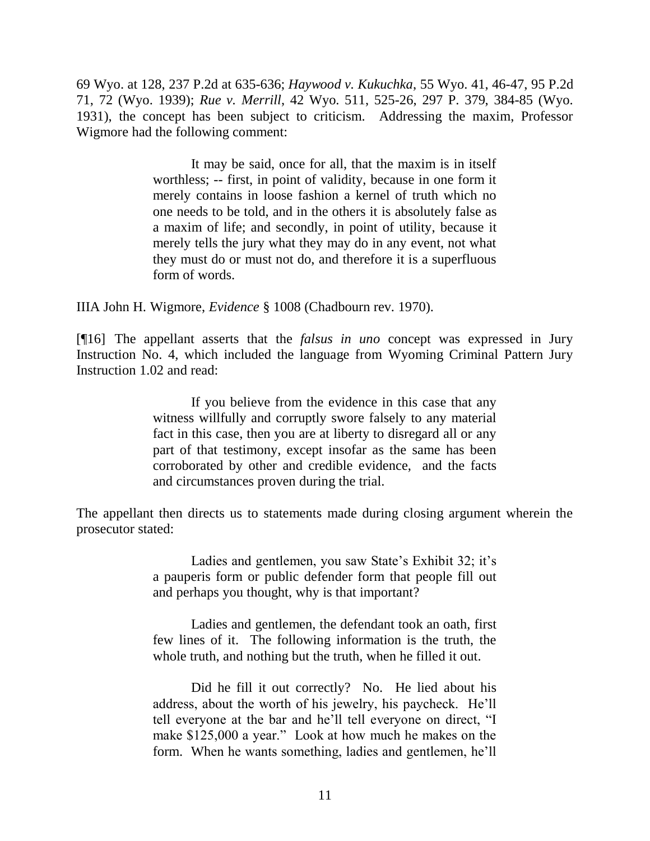69 Wyo. at 128, 237 P.2d at 635-636; *Haywood v. Kukuchka*, 55 Wyo. 41, 46-47, 95 P.2d 71, 72 (Wyo. 1939); *Rue v. Merrill*, 42 Wyo. 511, 525-26, 297 P. 379, 384-85 (Wyo. 1931), the concept has been subject to criticism. Addressing the maxim, Professor Wigmore had the following comment:

> It may be said, once for all, that the maxim is in itself worthless; -- first, in point of validity, because in one form it merely contains in loose fashion a kernel of truth which no one needs to be told, and in the others it is absolutely false as a maxim of life; and secondly, in point of utility, because it merely tells the jury what they may do in any event, not what they must do or must not do, and therefore it is a superfluous form of words.

IIIA John H. Wigmore, *Evidence* § 1008 (Chadbourn rev. 1970).

[¶16] The appellant asserts that the *falsus in uno* concept was expressed in Jury Instruction No. 4, which included the language from Wyoming Criminal Pattern Jury Instruction 1.02 and read:

> If you believe from the evidence in this case that any witness willfully and corruptly swore falsely to any material fact in this case, then you are at liberty to disregard all or any part of that testimony, except insofar as the same has been corroborated by other and credible evidence, and the facts and circumstances proven during the trial.

The appellant then directs us to statements made during closing argument wherein the prosecutor stated:

> Ladies and gentlemen, you saw State's Exhibit 32; it's a pauperis form or public defender form that people fill out and perhaps you thought, why is that important?

> Ladies and gentlemen, the defendant took an oath, first few lines of it. The following information is the truth, the whole truth, and nothing but the truth, when he filled it out.

> Did he fill it out correctly? No. He lied about his address, about the worth of his jewelry, his paycheck. He'll tell everyone at the bar and he'll tell everyone on direct, "I make \$125,000 a year." Look at how much he makes on the form. When he wants something, ladies and gentlemen, he'll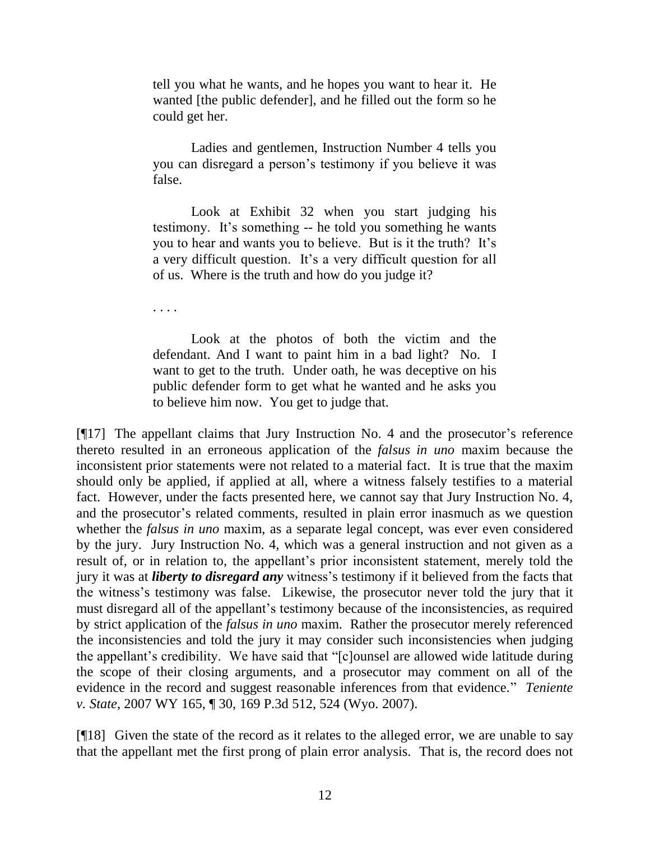tell you what he wants, and he hopes you want to hear it. He wanted [the public defender], and he filled out the form so he could get her.

Ladies and gentlemen, Instruction Number 4 tells you you can disregard a person's testimony if you believe it was false.

Look at Exhibit 32 when you start judging his testimony. It's something -- he told you something he wants you to hear and wants you to believe. But is it the truth? It's a very difficult question. It's a very difficult question for all of us. Where is the truth and how do you judge it?

. . . .

Look at the photos of both the victim and the defendant. And I want to paint him in a bad light? No. I want to get to the truth. Under oath, he was deceptive on his public defender form to get what he wanted and he asks you to believe him now. You get to judge that.

[¶17] The appellant claims that Jury Instruction No. 4 and the prosecutor's reference thereto resulted in an erroneous application of the *falsus in uno* maxim because the inconsistent prior statements were not related to a material fact. It is true that the maxim should only be applied, if applied at all, where a witness falsely testifies to a material fact. However, under the facts presented here, we cannot say that Jury Instruction No. 4, and the prosecutor's related comments, resulted in plain error inasmuch as we question whether the *falsus in uno* maxim, as a separate legal concept, was ever even considered by the jury. Jury Instruction No. 4, which was a general instruction and not given as a result of, or in relation to, the appellant's prior inconsistent statement, merely told the jury it was at *liberty to disregard any* witness's testimony if it believed from the facts that the witness's testimony was false. Likewise, the prosecutor never told the jury that it must disregard all of the appellant's testimony because of the inconsistencies, as required by strict application of the *falsus in uno* maxim. Rather the prosecutor merely referenced the inconsistencies and told the jury it may consider such inconsistencies when judging the appellant's credibility. We have said that "[c]ounsel are allowed wide latitude during the scope of their closing arguments, and a prosecutor may comment on all of the evidence in the record and suggest reasonable inferences from that evidence." *Teniente v. State*, 2007 WY 165, ¶ 30, 169 P.3d 512, 524 (Wyo. 2007).

[¶18] Given the state of the record as it relates to the alleged error, we are unable to say that the appellant met the first prong of plain error analysis. That is, the record does not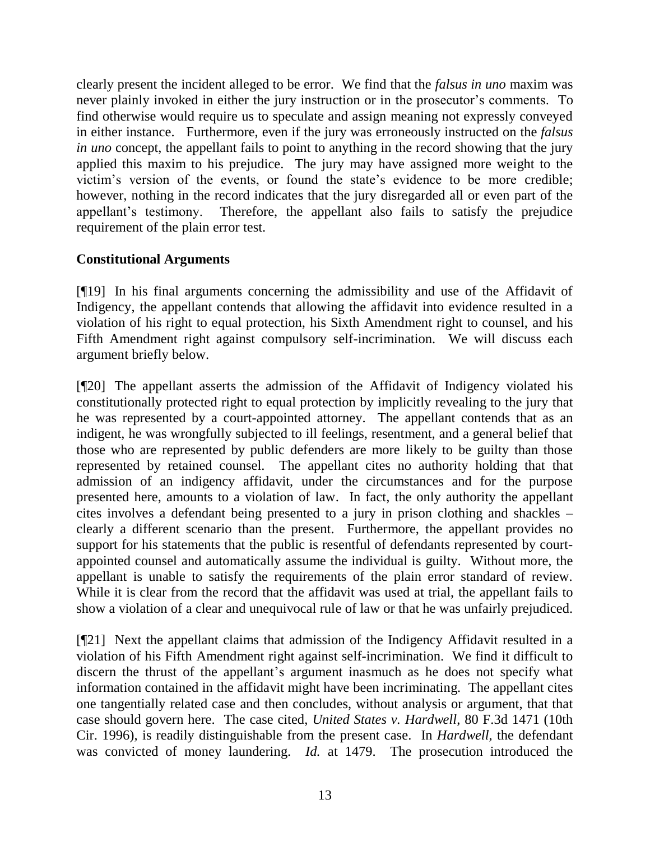clearly present the incident alleged to be error. We find that the *falsus in uno* maxim was never plainly invoked in either the jury instruction or in the prosecutor's comments. To find otherwise would require us to speculate and assign meaning not expressly conveyed in either instance. Furthermore, even if the jury was erroneously instructed on the *falsus in uno* concept, the appellant fails to point to anything in the record showing that the jury applied this maxim to his prejudice. The jury may have assigned more weight to the victim's version of the events, or found the state's evidence to be more credible; however, nothing in the record indicates that the jury disregarded all or even part of the appellant's testimony. Therefore, the appellant also fails to satisfy the prejudice requirement of the plain error test.

# **Constitutional Arguments**

[¶19] In his final arguments concerning the admissibility and use of the Affidavit of Indigency, the appellant contends that allowing the affidavit into evidence resulted in a violation of his right to equal protection, his Sixth Amendment right to counsel, and his Fifth Amendment right against compulsory self-incrimination. We will discuss each argument briefly below.

[¶20] The appellant asserts the admission of the Affidavit of Indigency violated his constitutionally protected right to equal protection by implicitly revealing to the jury that he was represented by a court-appointed attorney. The appellant contends that as an indigent, he was wrongfully subjected to ill feelings, resentment, and a general belief that those who are represented by public defenders are more likely to be guilty than those represented by retained counsel. The appellant cites no authority holding that that admission of an indigency affidavit, under the circumstances and for the purpose presented here, amounts to a violation of law. In fact, the only authority the appellant cites involves a defendant being presented to a jury in prison clothing and shackles – clearly a different scenario than the present. Furthermore, the appellant provides no support for his statements that the public is resentful of defendants represented by courtappointed counsel and automatically assume the individual is guilty. Without more, the appellant is unable to satisfy the requirements of the plain error standard of review. While it is clear from the record that the affidavit was used at trial, the appellant fails to show a violation of a clear and unequivocal rule of law or that he was unfairly prejudiced.

[¶21] Next the appellant claims that admission of the Indigency Affidavit resulted in a violation of his Fifth Amendment right against self-incrimination. We find it difficult to discern the thrust of the appellant's argument inasmuch as he does not specify what information contained in the affidavit might have been incriminating. The appellant cites one tangentially related case and then concludes, without analysis or argument, that that case should govern here. The case cited, *United States v. Hardwell*, 80 F.3d 1471 (10th Cir. 1996), is readily distinguishable from the present case. In *Hardwell*, the defendant was convicted of money laundering. *Id.* at 1479. The prosecution introduced the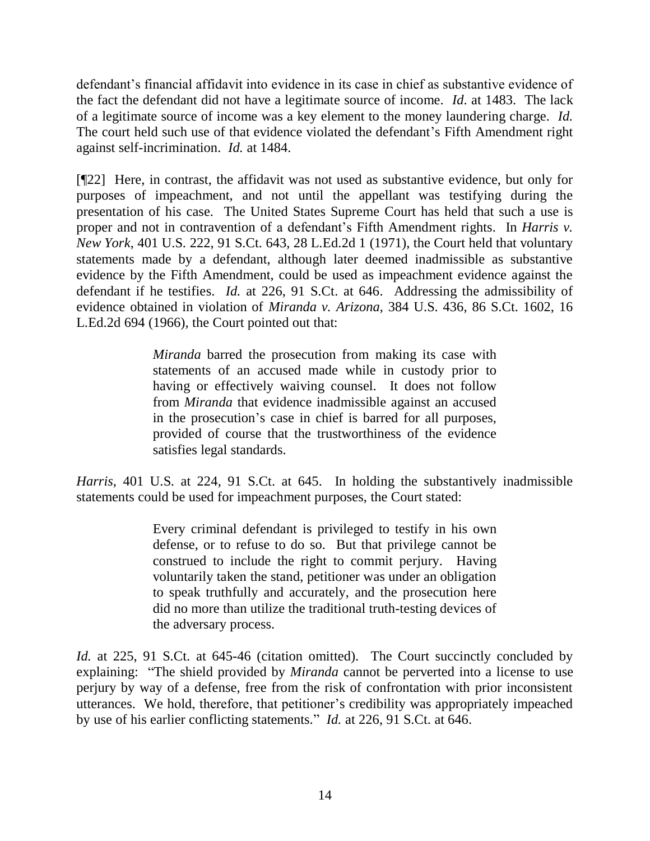defendant's financial affidavit into evidence in its case in chief as substantive evidence of the fact the defendant did not have a legitimate source of income. *Id*. at 1483. The lack of a legitimate source of income was a key element to the money laundering charge. *Id.*  The court held such use of that evidence violated the defendant's Fifth Amendment right against self-incrimination. *Id.* at 1484.

[¶22] Here, in contrast, the affidavit was not used as substantive evidence, but only for purposes of impeachment, and not until the appellant was testifying during the presentation of his case. The United States Supreme Court has held that such a use is proper and not in contravention of a defendant's Fifth Amendment rights. In *Harris v. New York*, 401 U.S. 222, 91 S.Ct. 643, 28 L.Ed.2d 1 (1971), the Court held that voluntary statements made by a defendant, although later deemed inadmissible as substantive evidence by the Fifth Amendment, could be used as impeachment evidence against the defendant if he testifies. *Id.* at 226, 91 S.Ct. at 646. Addressing the admissibility of evidence obtained in violation of *Miranda v. Arizona*, 384 U.S. 436, 86 S.Ct. 1602, 16 L.Ed.2d 694 (1966), the Court pointed out that:

> *Miranda* barred the prosecution from making its case with statements of an accused made while in custody prior to having or effectively waiving counsel. It does not follow from *Miranda* that evidence inadmissible against an accused in the prosecution's case in chief is barred for all purposes, provided of course that the trustworthiness of the evidence satisfies legal standards.

*Harris*, 401 U.S. at 224, 91 S.Ct. at 645. In holding the substantively inadmissible statements could be used for impeachment purposes, the Court stated:

> Every criminal defendant is privileged to testify in his own defense, or to refuse to do so. But that privilege cannot be construed to include the right to commit perjury. Having voluntarily taken the stand, petitioner was under an obligation to speak truthfully and accurately, and the prosecution here did no more than utilize the traditional truth-testing devices of the adversary process.

*Id.* at 225, 91 S.Ct. at 645-46 (citation omitted). The Court succinctly concluded by explaining: "The shield provided by *Miranda* cannot be perverted into a license to use perjury by way of a defense, free from the risk of confrontation with prior inconsistent utterances. We hold, therefore, that petitioner's credibility was appropriately impeached by use of his earlier conflicting statements." *Id.* at 226, 91 S.Ct. at 646.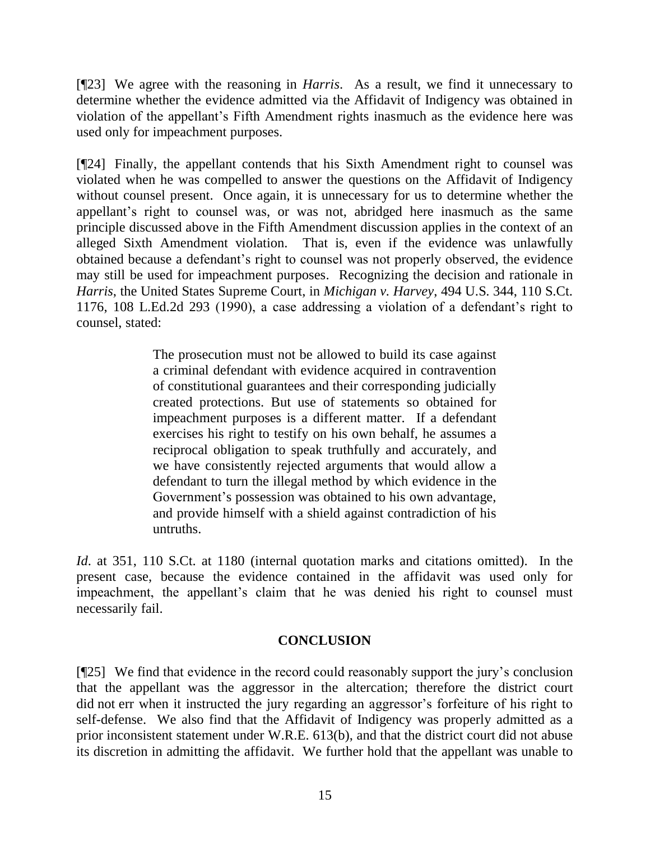[¶23] We agree with the reasoning in *Harris*. As a result, we find it unnecessary to determine whether the evidence admitted via the Affidavit of Indigency was obtained in violation of the appellant's Fifth Amendment rights inasmuch as the evidence here was used only for impeachment purposes.

[¶24] Finally, the appellant contends that his Sixth Amendment right to counsel was violated when he was compelled to answer the questions on the Affidavit of Indigency without counsel present. Once again, it is unnecessary for us to determine whether the appellant's right to counsel was, or was not, abridged here inasmuch as the same principle discussed above in the Fifth Amendment discussion applies in the context of an alleged Sixth Amendment violation. That is, even if the evidence was unlawfully obtained because a defendant's right to counsel was not properly observed, the evidence may still be used for impeachment purposes. Recognizing the decision and rationale in *Harris*, the United States Supreme Court, in *Michigan v. Harvey*, 494 U.S. 344, 110 S.Ct. 1176, 108 L.Ed.2d 293 (1990), a case addressing a violation of a defendant's right to counsel, stated:

> The prosecution must not be allowed to build its case against a criminal defendant with evidence acquired in contravention of constitutional guarantees and their corresponding judicially created protections. But use of statements so obtained for impeachment purposes is a different matter. If a defendant exercises his right to testify on his own behalf, he assumes a reciprocal obligation to speak truthfully and accurately, and we have consistently rejected arguments that would allow a defendant to turn the illegal method by which evidence in the Government's possession was obtained to his own advantage, and provide himself with a shield against contradiction of his untruths.

*Id*. at 351, 110 S.Ct. at 1180 (internal quotation marks and citations omitted). In the present case, because the evidence contained in the affidavit was used only for impeachment, the appellant's claim that he was denied his right to counsel must necessarily fail.

## **CONCLUSION**

[¶25] We find that evidence in the record could reasonably support the jury's conclusion that the appellant was the aggressor in the altercation; therefore the district court did not err when it instructed the jury regarding an aggressor's forfeiture of his right to self-defense. We also find that the Affidavit of Indigency was properly admitted as a prior inconsistent statement under W.R.E. 613(b), and that the district court did not abuse its discretion in admitting the affidavit. We further hold that the appellant was unable to